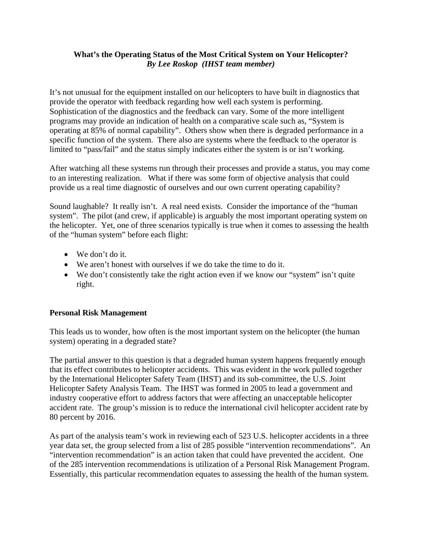## **What's the Operating Status of the Most Critical System on Your Helicopter?**  *By Lee Roskop (IHST team member)*

It's not unusual for the equipment installed on our helicopters to have built in diagnostics that provide the operator with feedback regarding how well each system is performing. Sophistication of the diagnostics and the feedback can vary. Some of the more intelligent programs may provide an indication of health on a comparative scale such as, "System is operating at 85% of normal capability". Others show when there is degraded performance in a specific function of the system. There also are systems where the feedback to the operator is limited to "pass/fail" and the status simply indicates either the system is or isn't working.

After watching all these systems run through their processes and provide a status, you may come to an interesting realization. What if there was some form of objective analysis that could provide us a real time diagnostic of ourselves and our own current operating capability?

Sound laughable? It really isn't. A real need exists. Consider the importance of the "human system". The pilot (and crew, if applicable) is arguably the most important operating system on the helicopter. Yet, one of three scenarios typically is true when it comes to assessing the health of the "human system" before each flight:

- We don't do it.
- We aren't honest with ourselves if we do take the time to do it.
- We don't consistently take the right action even if we know our "system" isn't quite right.

## **Personal Risk Management**

This leads us to wonder, how often is the most important system on the helicopter (the human system) operating in a degraded state?

The partial answer to this question is that a degraded human system happens frequently enough that its effect contributes to helicopter accidents. This was evident in the work pulled together by the International Helicopter Safety Team (IHST) and its sub-committee, the U.S. Joint Helicopter Safety Analysis Team. The IHST was formed in 2005 to lead a government and industry cooperative effort to address factors that were affecting an unacceptable helicopter accident rate. The group's mission is to reduce the international civil helicopter accident rate by 80 percent by 2016.

As part of the analysis team's work in reviewing each of 523 U.S. helicopter accidents in a three year data set, the group selected from a list of 285 possible "intervention recommendations". An "intervention recommendation" is an action taken that could have prevented the accident. One of the 285 intervention recommendations is utilization of a Personal Risk Management Program. Essentially, this particular recommendation equates to assessing the health of the human system.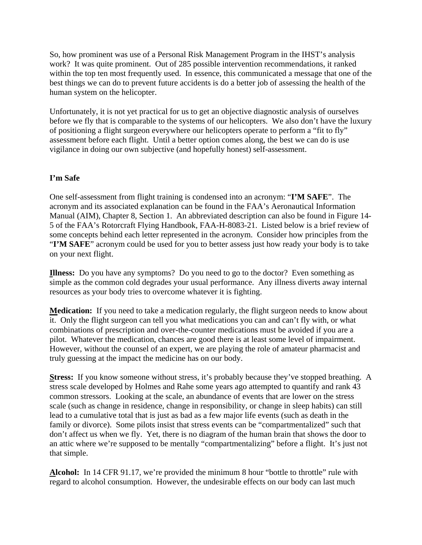So, how prominent was use of a Personal Risk Management Program in the IHST's analysis work? It was quite prominent. Out of 285 possible intervention recommendations, it ranked within the top ten most frequently used. In essence, this communicated a message that one of the best things we can do to prevent future accidents is do a better job of assessing the health of the human system on the helicopter.

Unfortunately, it is not yet practical for us to get an objective diagnostic analysis of ourselves before we fly that is comparable to the systems of our helicopters. We also don't have the luxury of positioning a flight surgeon everywhere our helicopters operate to perform a "fit to fly" assessment before each flight. Until a better option comes along, the best we can do is use vigilance in doing our own subjective (and hopefully honest) self-assessment.

## **I'm Safe**

One self-assessment from flight training is condensed into an acronym: "**I'M SAFE**". The acronym and its associated explanation can be found in the FAA's Aeronautical Information Manual (AIM), Chapter 8, Section 1. An abbreviated description can also be found in Figure 14- 5 of the FAA's Rotorcraft Flying Handbook, FAA-H-8083-21. Listed below is a brief review of some concepts behind each letter represented in the acronym. Consider how principles from the "**I'M SAFE**" acronym could be used for you to better assess just how ready your body is to take on your next flight.

**Illness:** Do you have any symptoms? Do you need to go to the doctor? Even something as simple as the common cold degrades your usual performance. Any illness diverts away internal resources as your body tries to overcome whatever it is fighting.

**Medication:** If you need to take a medication regularly, the flight surgeon needs to know about it. Only the flight surgeon can tell you what medications you can and can't fly with, or what combinations of prescription and over-the-counter medications must be avoided if you are a pilot. Whatever the medication, chances are good there is at least some level of impairment. However, without the counsel of an expert, we are playing the role of amateur pharmacist and truly guessing at the impact the medicine has on our body.

**Stress:** If you know someone without stress, it's probably because they've stopped breathing. A stress scale developed by Holmes and Rahe some years ago attempted to quantify and rank 43 common stressors. Looking at the scale, an abundance of events that are lower on the stress scale (such as change in residence, change in responsibility, or change in sleep habits) can still lead to a cumulative total that is just as bad as a few major life events (such as death in the family or divorce). Some pilots insist that stress events can be "compartmentalized" such that don't affect us when we fly. Yet, there is no diagram of the human brain that shows the door to an attic where we're supposed to be mentally "compartmentalizing" before a flight. It's just not that simple.

**Alcohol:** In 14 CFR 91.17, we're provided the minimum 8 hour "bottle to throttle" rule with regard to alcohol consumption. However, the undesirable effects on our body can last much